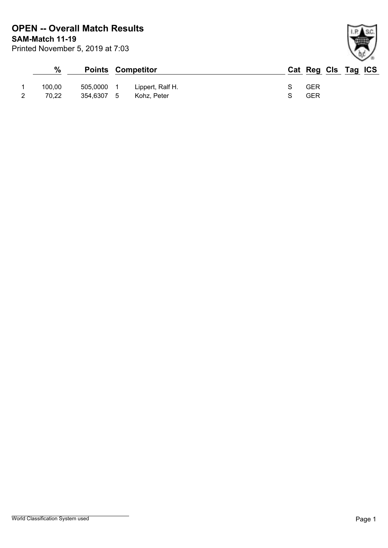| $\%$   |            | <b>Points Competitor</b> | Cat Reg Cls Tag ICS |
|--------|------------|--------------------------|---------------------|
| 100.00 | 505.0000   | Lippert, Ralf H.         | GER                 |
| 70.22  | 354,6307 5 | Kohz. Peter              | GER                 |

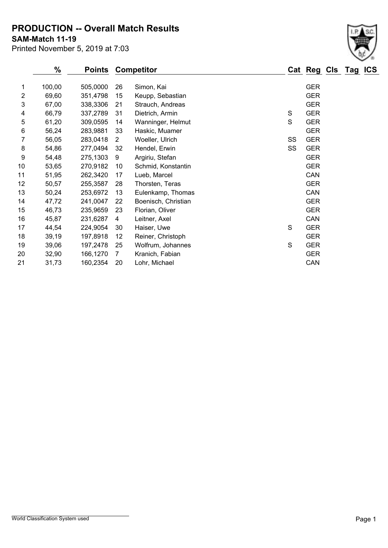**PRODUCTION -- Overall Match Results**

**SAM-Match 11-19**

Printed November 5, 2019 at 7:03

|                 | %      | <b>Points</b> | <b>Competitor</b>     |                     |    | Cat Reg Cls Tag |  | <b>ICS</b> |
|-----------------|--------|---------------|-----------------------|---------------------|----|-----------------|--|------------|
| 1               | 100,00 | 505,0000      | 26                    | Simon, Kai          |    | <b>GER</b>      |  |            |
| 2               | 69,60  | 351,4798      | 15                    | Keupp, Sebastian    |    | <b>GER</b>      |  |            |
| 3               | 67,00  | 338,3306      | 21                    | Strauch, Andreas    |    | <b>GER</b>      |  |            |
| 4               | 66,79  | 337,2789      | 31                    | Dietrich, Armin     | S  | <b>GER</b>      |  |            |
| 5               | 61,20  | 309,0595      | 14                    | Wanninger, Helmut   | S  | <b>GER</b>      |  |            |
| 6               | 56,24  | 283,9881      | 33                    | Haskic, Muamer      |    | <b>GER</b>      |  |            |
| 7               | 56,05  | 283,0418      | $\mathbf{2}^{\prime}$ | Woeller, Ulrich     | SS | <b>GER</b>      |  |            |
| 8               | 54,86  | 277,0494      | 32                    | Hendel, Erwin       | SS | <b>GER</b>      |  |            |
| 9               | 54,48  | 275,1303      | 9                     | Argiriu, Stefan     |    | <b>GER</b>      |  |            |
| 10 <sup>°</sup> | 53,65  | 270,9182      | 10                    | Schmid, Konstantin  |    | <b>GER</b>      |  |            |
| 11              | 51,95  | 262,3420      | 17                    | Lueb, Marcel        |    | CAN             |  |            |
| 12              | 50,57  | 255,3587      | 28                    | Thorsten, Teras     |    | <b>GER</b>      |  |            |
| 13              | 50,24  | 253,6972      | 13                    | Eulenkamp, Thomas   |    | CAN             |  |            |
| 14              | 47,72  | 241,0047      | 22                    | Boenisch, Christian |    | <b>GER</b>      |  |            |
| 15              | 46,73  | 235,9659      | 23                    | Florian, Oliver     |    | <b>GER</b>      |  |            |
| 16              | 45,87  | 231,6287      | 4                     | Leitner, Axel       |    | CAN             |  |            |
| 17              | 44,54  | 224,9054      | 30                    | Haiser, Uwe         | S  | <b>GER</b>      |  |            |
| 18              | 39,19  | 197,8918      | 12                    | Reiner, Christoph   |    | <b>GER</b>      |  |            |
| 19              | 39,06  | 197,2478      | 25                    | Wolfrum, Johannes   | S  | <b>GER</b>      |  |            |
| 20              | 32,90  | 166,1270      | 7                     | Kranich, Fabian     |    | <b>GER</b>      |  |            |
| 21              | 31,73  | 160,2354      | 20                    | Lohr, Michael       |    | CAN             |  |            |

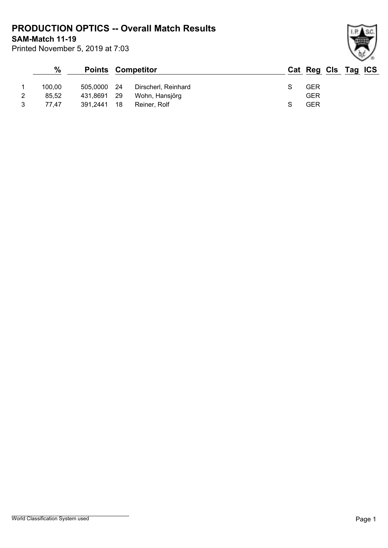**PRODUCTION OPTICS -- Overall Match Results**

**SAM-Match 11-19**

Printed November 5, 2019 at 7:03

## **% Points Competitor Cat Reg Cls Tag ICS** 1 100,00 505,0000 24 Dirscherl, Reinhard S GER 2 85,52 431,8691 29 Wohn, Hansjörg GER 3 77,47 391,2441 18 Reiner, Rolf S GER